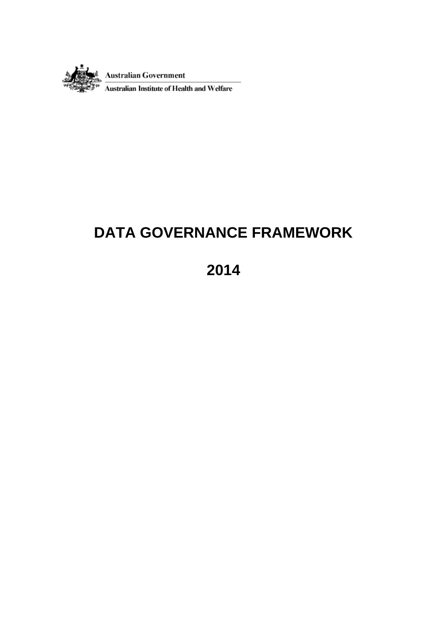

 $\frac{Australian \ Government}{Australian \ Institute \ of \ Health \ and \ Weffare}$ 

# **DATA GOVERNANCE FRAMEWORK**

# **2014**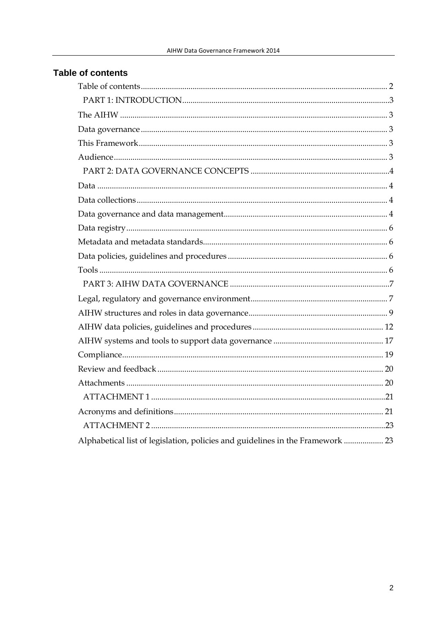# <span id="page-1-0"></span>**Table of contents**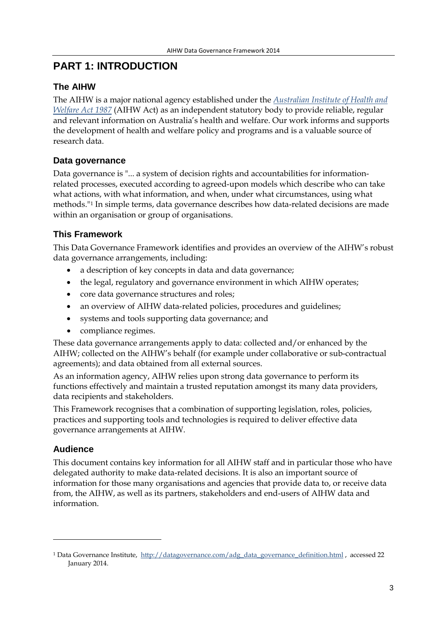# <span id="page-2-0"></span>**PART 1: INTRODUCTION**

# <span id="page-2-1"></span>**The AIHW**

The AIHW is a major national agency established under the *[Australian Institute of Health and](http://www.comlaw.gov.au/Series/C2004A03450)  [Welfare Act 1987](http://www.comlaw.gov.au/Series/C2004A03450)* (AIHW Act) as an independent statutory body to provide reliable, regular and relevant information on Australia's health and welfare. Our work informs and supports the development of health and welfare policy and programs and is a valuable source of research data.

# <span id="page-2-2"></span>**Data governance**

Data governance is "... a system of decision rights and accountabilities for informationrelated processes, executed according to agreed-upon models which describe who can take what actions, with what information, and when, under what circumstances, using what methods."[1](#page-2-5) In simple terms, data governance describes how data-related decisions are made within an organisation or group of organisations.

# <span id="page-2-3"></span>**This Framework**

This Data Governance Framework identifies and provides an overview of the AIHW's robust data governance arrangements, including:

- a description of key concepts in data and data governance;
- the legal, regulatory and governance environment in which AIHW operates;
- core data governance structures and roles;
- an overview of AIHW data-related policies, procedures and guidelines;
- systems and tools supporting data governance; and
- compliance regimes.

These data governance arrangements apply to data: collected and/or enhanced by the AIHW; collected on the AIHW's behalf (for example under collaborative or sub-contractual agreements); and data obtained from all external sources.

As an information agency, AIHW relies upon strong data governance to perform its functions effectively and maintain a trusted reputation amongst its many data providers, data recipients and stakeholders.

This Framework recognises that a combination of supporting legislation, roles, policies, practices and supporting tools and technologies is required to deliver effective data governance arrangements at AIHW.

# <span id="page-2-4"></span>**Audience**

<u>.</u>

This document contains key information for all AIHW staff and in particular those who have delegated authority to make data-related decisions. It is also an important source of information for those many organisations and agencies that provide data to, or receive data from, the AIHW, as well as its partners, stakeholders and end-users of AIHW data and information.

<span id="page-2-5"></span><sup>&</sup>lt;sup>1</sup> Data Governance Institute, [http://datagovernance.com/adg\\_data\\_governance\\_definition.html](http://datagovernance.com/adg_data_governance_definition.html) , accessed 22 January 2014.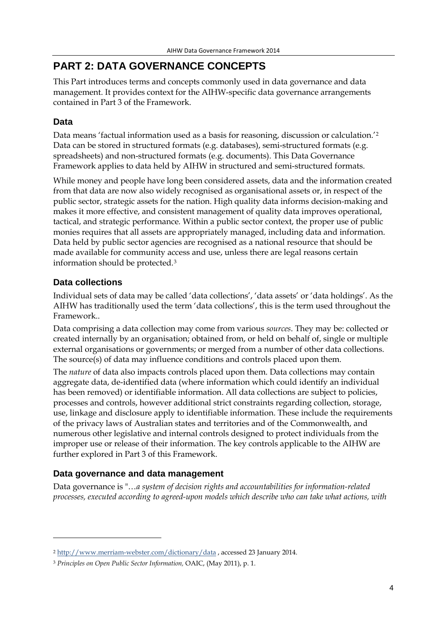# <span id="page-3-0"></span>**PART 2: DATA GOVERNANCE CONCEPTS**

This Part introduces terms and concepts commonly used in data governance and data management. It provides context for the AIHW-specific data governance arrangements contained in Part 3 of the Framework.

# <span id="page-3-1"></span>**Data**

Data means 'factual information used as a basis for reasoning, discussion or calculation.'[2](#page-3-4) Data can be stored in structured formats (e.g. databases), semi-structured formats (e.g. spreadsheets) and non-structured formats (e.g. documents). This Data Governance Framework applies to data held by AIHW in structured and semi-structured formats.

While money and people have long been considered assets, data and the information created from that data are now also widely recognised as organisational assets or, in respect of the public sector, strategic assets for the nation. High quality data informs decision-making and makes it more effective, and consistent management of quality data improves operational, tactical, and strategic performance*.* Within a public sector context, the proper use of public monies requires that all assets are appropriately managed, including data and information. Data held by public sector agencies are recognised as a national resource that should be made available for community access and use, unless there are legal reasons certain information should be protected.[3](#page-3-5)

# <span id="page-3-2"></span>**Data collections**

<u>.</u>

Individual sets of data may be called 'data collections', 'data assets' or 'data holdings'. As the AIHW has traditionally used the term 'data collections', this is the term used throughout the Framework..

Data comprising a data collection may come from various *sources*. They may be: collected or created internally by an organisation; obtained from, or held on behalf of, single or multiple external organisations or governments; or merged from a number of other data collections. The source(s) of data may influence conditions and controls placed upon them.

The *nature* of data also impacts controls placed upon them. Data collections may contain aggregate data, de-identified data (where information which could identify an individual has been removed) or identifiable information. All data collections are subject to policies, processes and controls, however additional strict constraints regarding collection, storage, use, linkage and disclosure apply to identifiable information. These include the requirements of the privacy laws of Australian states and territories and of the Commonwealth, and numerous other legislative and internal controls designed to protect individuals from the improper use or release of their information. The key controls applicable to the AIHW are further explored in Part 3 of this Framework.

# <span id="page-3-3"></span>**Data governance and data management**

Data governance is "…*a system of decision rights and accountabilities for information-related processes, executed according to agreed-upon models which describe who can take what actions, with* 

<span id="page-3-4"></span><sup>2</sup> <http://www.merriam-webster.com/dictionary/data> , accessed 23 January 2014.

<span id="page-3-5"></span><sup>3</sup> *Principles on Open Public Sector Information,* OAIC, (May 2011), p. 1.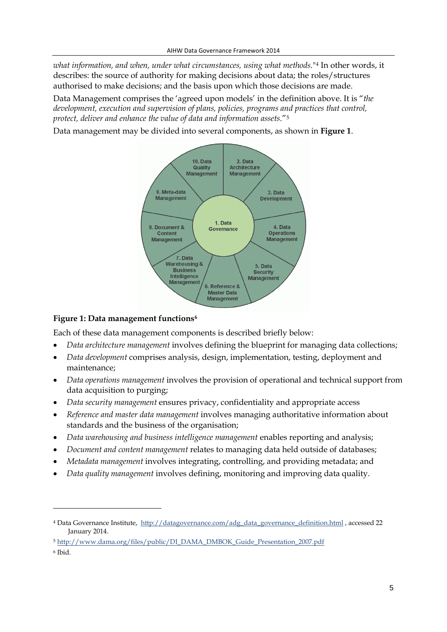*what information, and when, under what circumstances, using what methods.*"[4](#page-4-1) In other words, it describes: the source of authority for making decisions about data; the roles/structures authorised to make decisions; and the basis upon which those decisions are made.

Data Management comprises the 'agreed upon models' in the definition above. It is "*the development, execution and supervision of plans, policies, programs and practices that control, protect, deliver and enhance the value of data and information assets*."[5](#page-4-2)

Data management may be divided into several components, as shown in **[Figure 1](#page-4-0)**.



### <span id="page-4-0"></span>**Figure 1: Data management functions[6](#page-4-3)**

Each of these data management components is described briefly below:

- *Data architecture management* involves defining the blueprint for managing data collections;
- *Data development* comprises analysis, design, implementation, testing, deployment and maintenance;
- *Data operations management* involves the provision of operational and technical support from data acquisition to purging;
- *Data security management* ensures privacy, confidentiality and appropriate access
- *Reference and master data management* involves managing authoritative information about standards and the business of the organisation;
- *Data warehousing and business intelligence management* enables reporting and analysis;
- *Document and content management* relates to managing data held outside of databases;
- *Metadata management* involves integrating, controlling, and providing metadata; and
- *Data quality management* involves defining, monitoring and improving data quality.

-

<span id="page-4-1"></span><sup>4</sup> Data Governance Institute, [http://datagovernance.com/adg\\_data\\_governance\\_definition.html](http://datagovernance.com/adg_data_governance_definition.html) , accessed 22 January 2014.

<span id="page-4-2"></span><sup>5</sup> [http://www.dama.org/files/public/DI\\_DAMA\\_DMBOK\\_Guide\\_Presentation\\_2007.pdf](http://www.dama.org/files/public/DI_DAMA_DMBOK_Guide_Presentation_2007.pdf)

<span id="page-4-3"></span><sup>6</sup> Ibid.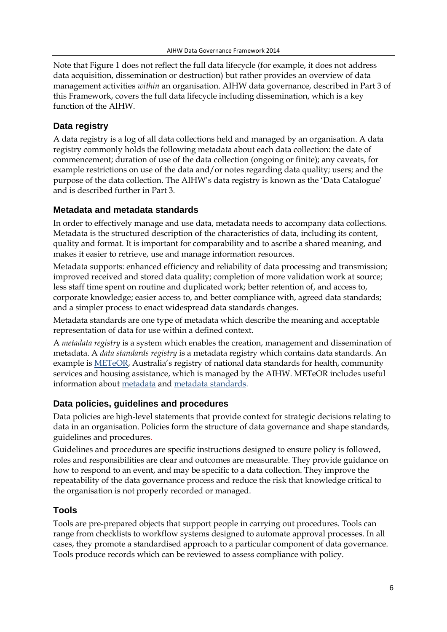Note that Figure 1 does not reflect the full data lifecycle (for example, it does not address data acquisition, dissemination or destruction) but rather provides an overview of data management activities *within* an organisation. AIHW data governance, described in Part 3 of this Framework, covers the full data lifecycle including dissemination, which is a key function of the AIHW.

# <span id="page-5-0"></span>**Data registry**

A data registry is a log of all data collections held and managed by an organisation. A data registry commonly holds the following metadata about each data collection: the date of commencement; duration of use of the data collection (ongoing or finite); any caveats, for example restrictions on use of the data and/or notes regarding data quality; users; and the purpose of the data collection. The AIHW's data registry is known as the 'Data Catalogue' and is described further in Part 3.

# <span id="page-5-1"></span>**Metadata and metadata standards**

In order to effectively manage and use data, metadata needs to accompany data collections. Metadata is the structured description of the characteristics of data, including its content, quality and format. It is important for comparability and to ascribe a shared meaning, and makes it easier to retrieve, use and manage information resources.

Metadata supports: enhanced efficiency and reliability of data processing and transmission; improved received and stored data quality; completion of more validation work at source; less staff time spent on routine and duplicated work; better retention of, and access to, corporate knowledge; easier access to, and better compliance with, agreed data standards; and a simpler process to enact widespread data standards changes.

Metadata standards are one type of metadata which describe the meaning and acceptable representation of data for use within a defined context.

A *metadata registry* is a system which enables the creation, management and dissemination of metadata. A *data standards registry* is a metadata registry which contains data standards. An example is [METeOR,](http://meteor.aihw.gov.au/content/index.phtml/itemId/181162) Australia's registry of national data standards for health, community services and housing assistance, which is managed by the AIHW. METeOR includes useful information about [metadata](http://meteor.aihw.gov.au/content/index.phtml/itemId/268284) an[d metadata standards.](http://meteor.aihw.gov.au/content/index.phtml/itemId/276533)

# <span id="page-5-2"></span>**Data policies, guidelines and procedures**

Data policies are high-level statements that provide context for strategic decisions relating to data in an organisation. Policies form the structure of data governance and shape standards, guidelines and procedures.

Guidelines and procedures are specific instructions designed to ensure policy is followed, roles and responsibilities are clear and outcomes are measurable. They provide guidance on how to respond to an event, and may be specific to a data collection. They improve the repeatability of the data governance process and reduce the risk that knowledge critical to the organisation is not properly recorded or managed.

# <span id="page-5-3"></span>**Tools**

Tools are pre-prepared objects that support people in carrying out procedures. Tools can range from checklists to workflow systems designed to automate approval processes. In all cases, they promote a standardised approach to a particular component of data governance. Tools produce records which can be reviewed to assess compliance with policy.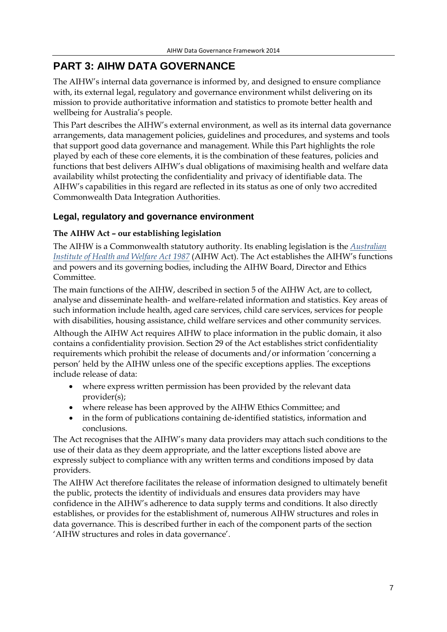# <span id="page-6-0"></span>**PART 3: AIHW DATA GOVERNANCE**

The AIHW's internal data governance is informed by, and designed to ensure compliance with, its external legal, regulatory and governance environment whilst delivering on its mission to provide authoritative information and statistics to promote better health and wellbeing for Australia's people.

This Part describes the AIHW's external environment, as well as its internal data governance arrangements, data management policies, guidelines and procedures, and systems and tools that support good data governance and management. While this Part highlights the role played by each of these core elements, it is the combination of these features, policies and functions that best delivers AIHW's dual obligations of maximising health and welfare data availability whilst protecting the confidentiality and privacy of identifiable data. The AIHW's capabilities in this regard are reflected in its status as one of only two accredited Commonwealth Data Integration Authorities.

# <span id="page-6-1"></span>**Legal, regulatory and governance environment**

### **The AIHW Act – our establishing legislation**

The AIHW is a Commonwealth statutory authority. Its enabling legislation is the *[Australian](http://www.comlaw.gov.au/Series/C2004A03450)  [Institute of Health and Welfare Act 1987](http://www.comlaw.gov.au/Series/C2004A03450)* (AIHW Act). The Act establishes the AIHW's functions and powers and its governing bodies, including the AIHW Board, Director and Ethics Committee.

The main functions of the AIHW, described in section 5 of the AIHW Act, are to collect, analyse and disseminate health- and welfare-related information and statistics. Key areas of such information include health, aged care services, child care services, services for people with disabilities, housing assistance, child welfare services and other community services.

Although the AIHW Act requires AIHW to place information in the public domain, it also contains a confidentiality provision. Section 29 of the Act establishes strict confidentiality requirements which prohibit the release of documents and/or information 'concerning a person' held by the AIHW unless one of the specific exceptions applies. The exceptions include release of data:

- where express written permission has been provided by the relevant data provider(s);
- where release has been approved by the AIHW Ethics Committee; and
- in the form of publications containing de-identified statistics, information and conclusions.

The Act recognises that the AIHW's many data providers may attach such conditions to the use of their data as they deem appropriate, and the latter exceptions listed above are expressly subject to compliance with any written terms and conditions imposed by data providers.

The AIHW Act therefore facilitates the release of information designed to ultimately benefit the public, protects the identity of individuals and ensures data providers may have confidence in the AIHW's adherence to data supply terms and conditions. It also directly establishes, or provides for the establishment of, numerous AIHW structures and roles in data governance. This is described further in each of the component parts of the section 'AIHW structures and roles in data governance'.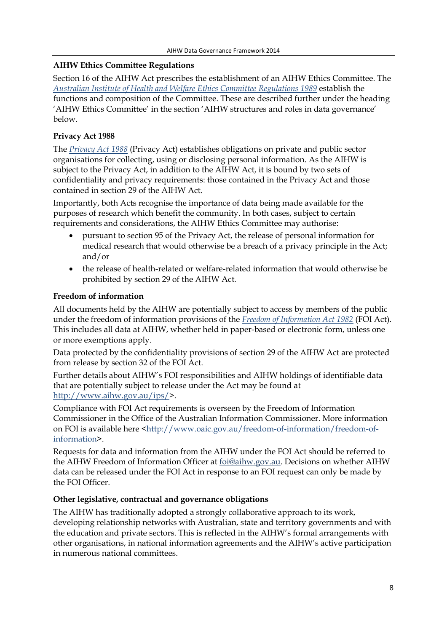### **AIHW Ethics Committee Regulations**

Section 16 of the AIHW Act prescribes the establishment of an AIHW Ethics Committee. The *[Australian Institute of Health and Welfare Ethics Committee Regulations 1989](http://www.comlaw.gov.au/Series/F1997B01703)* establish the functions and composition of the Committee. These are described further under the heading 'AIHW Ethics Committee' in the section 'AIHW structures and roles in data governance' below.

### **Privacy Act 1988**

The *[Privacy Act 1988](http://www.comlaw.gov.au/Series/C2004A03712)* (Privacy Act) establishes obligations on private and public sector organisations for collecting, using or disclosing personal information. As the AIHW is subject to the Privacy Act, in addition to the AIHW Act, it is bound by two sets of confidentiality and privacy requirements: those contained in the Privacy Act and those contained in section 29 of the AIHW Act.

Importantly, both Acts recognise the importance of data being made available for the purposes of research which benefit the community. In both cases, subject to certain requirements and considerations, the AIHW Ethics Committee may authorise:

- pursuant to section 95 of the Privacy Act, the release of personal information for medical research that would otherwise be a breach of a privacy principle in the Act; and/or
- the release of health-related or welfare-related information that would otherwise be prohibited by section 29 of the AIHW Act.

### **Freedom of information**

All documents held by the AIHW are potentially subject to access by members of the public under the freedom of information provisions of the *[Freedom of Information Act 1982](http://www.comlaw.gov.au/Series/C2004A02562)* (FOI Act). This includes all data at AIHW, whether held in paper-based or electronic form, unless one or more exemptions apply.

Data protected by the confidentiality provisions of section 29 of the AIHW Act are protected from release by section 32 of the FOI Act.

Further details about AIHW's FOI responsibilities and AIHW holdings of identifiable data that are potentially subject to release under the Act may be found at [http://www.aihw.gov.au/ips/>](http://www.aihw.gov.au/ips/).

Compliance with FOI Act requirements is overseen by the Freedom of Information Commissioner in the Office of the Australian Information Commissioner. More information on FOI is available here [<http://www.oaic.gov.au/freedom-of-information/freedom-of](http://www.oaic.gov.au/freedom-of-information/freedom-of-information)[information>](http://www.oaic.gov.au/freedom-of-information/freedom-of-information).

Requests for data and information from the AIHW under the FOI Act should be referred to the AIHW Freedom of Information Officer at [foi@aihw.gov.au.](mailto:foi@aihw.gov.au) Decisions on whether AIHW data can be released under the FOI Act in response to an FOI request can only be made by the FOI Officer.

### **Other legislative, contractual and governance obligations**

The AIHW has traditionally adopted a strongly collaborative approach to its work, developing relationship networks with Australian, state and territory governments and with the education and private sectors. This is reflected in the AIHW's formal arrangements with other organisations, in national information agreements and the AIHW's active participation in numerous national committees.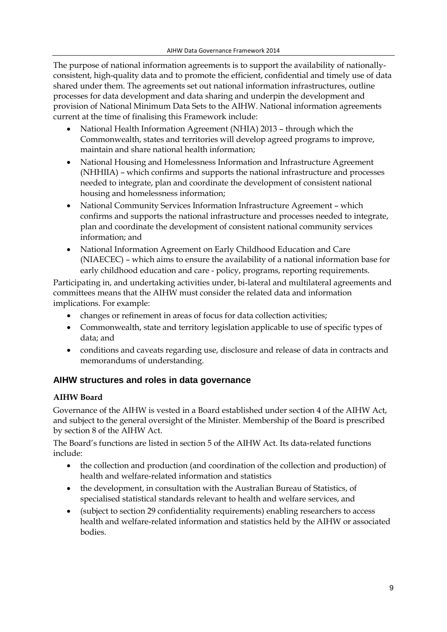The purpose of national information agreements is to support the availability of nationallyconsistent, high-quality data and to promote the efficient, confidential and timely use of data shared under them. The agreements set out national information infrastructures, outline processes for data development and data sharing and underpin the development and provision of National Minimum Data Sets to the AIHW. National information agreements current at the time of finalising this Framework include:

- National Health Information Agreement (NHIA) 2013 through which the Commonwealth, states and territories will develop agreed programs to improve, maintain and share national health information;
- National Housing and Homelessness Information and Infrastructure Agreement (NHHIIA) – which confirms and supports the national infrastructure and processes needed to integrate, plan and coordinate the development of consistent national housing and homelessness information;
- National Community Services Information Infrastructure Agreement which confirms and supports the national infrastructure and processes needed to integrate, plan and coordinate the development of consistent national community services information; and
- National Information Agreement on Early Childhood Education and Care (NIAECEC) – which aims to ensure the availability of a national information base for early childhood education and care - policy, programs, reporting requirements.

Participating in, and undertaking activities under, bi-lateral and multilateral agreements and committees means that the AIHW must consider the related data and information implications. For example:

- changes or refinement in areas of focus for data collection activities;
- Commonwealth, state and territory legislation applicable to use of specific types of data; and
- conditions and caveats regarding use, disclosure and release of data in contracts and memorandums of understanding.

# <span id="page-8-0"></span>**AIHW structures and roles in data governance**

# **AIHW Board**

Governance of the AIHW is vested in a Board established under section 4 of the AIHW Act, and subject to the general oversight of the Minister. Membership of the Board is prescribed by section 8 of the AIHW Act.

The Board's functions are listed in section 5 of the AIHW Act. Its data-related functions include:

- the collection and production (and coordination of the collection and production) of health and welfare-related information and statistics
- the development, in consultation with the Australian Bureau of Statistics, of specialised statistical standards relevant to health and welfare services, and
- (subject to section 29 confidentiality requirements) enabling researchers to access health and welfare-related information and statistics held by the AIHW or associated bodies.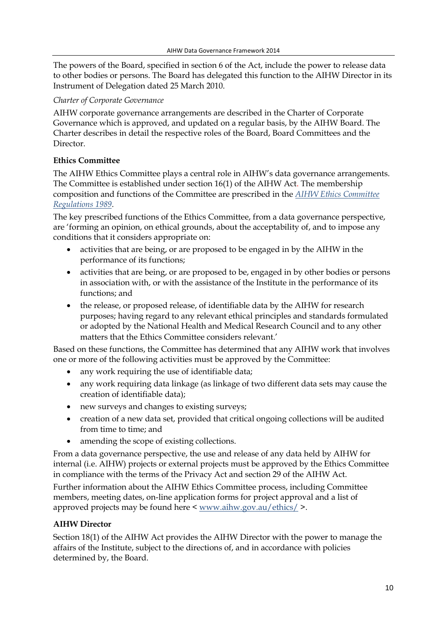The powers of the Board, specified in section 6 of the Act, include the power to release data to other bodies or persons. The Board has delegated this function to the AIHW Director in its Instrument of Delegation dated 25 March 2010.

#### *Charter of Corporate Governance*

AIHW corporate governance arrangements are described in the Charter of Corporate Governance which is approved, and updated on a regular basis, by the AIHW Board. The Charter describes in detail the respective roles of the Board, Board Committees and the Director.

#### **Ethics Committee**

The AIHW Ethics Committee plays a central role in AIHW's data governance arrangements. The Committee is established under section 16(1) of the AIHW Act. The membership composition and functions of the Committee are prescribed in the *[AIHW Ethics Committee](http://www.comlaw.gov.au/Series/F1997B01703)  [Regulations 1989](http://www.comlaw.gov.au/Series/F1997B01703)*.

The key prescribed functions of the Ethics Committee, from a data governance perspective, are 'forming an opinion, on ethical grounds, about the acceptability of, and to impose any conditions that it considers appropriate on:

- activities that are being, or are proposed to be engaged in by the AIHW in the performance of its functions;
- activities that are being, or are proposed to be, engaged in by other bodies or persons in association with, or with the assistance of the Institute in the performance of its functions; and
- the release, or proposed release, of identifiable data by the AIHW for research purposes; having regard to any relevant ethical principles and standards formulated or adopted by the National Health and Medical Research Council and to any other matters that the Ethics Committee considers relevant.'

Based on these functions, the Committee has determined that any AIHW work that involves one or more of the following activities must be approved by the Committee:

- any work requiring the use of identifiable data;
- any work requiring data linkage (as linkage of two different data sets may cause the creation of identifiable data);
- new surveys and changes to existing surveys;
- creation of a new data set, provided that critical ongoing collections will be audited from time to time; and
- amending the scope of existing collections.

From a data governance perspective, the use and release of any data held by AIHW for internal (i.e. AIHW) projects or external projects must be approved by the Ethics Committee in compliance with the terms of the Privacy Act and section 29 of the AIHW Act.

Further information about the AIHW Ethics Committee process, including Committee members, meeting dates, on-line application forms for project approval and a list of approved projects may be found here < [www.aihw.gov.au/ethics/](http://www.aihw.gov.au/ethics/) >.

### **AIHW Director**

Section 18(1) of the AIHW Act provides the AIHW Director with the power to manage the affairs of the Institute, subject to the directions of, and in accordance with policies determined by, the Board.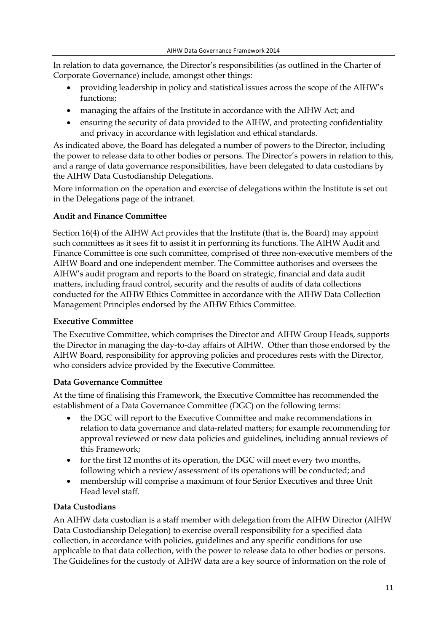In relation to data governance, the Director's responsibilities (as outlined in the Charter of Corporate Governance) include, amongst other things:

- providing leadership in policy and statistical issues across the scope of the AIHW's functions;
- managing the affairs of the Institute in accordance with the AIHW Act; and
- ensuring the security of data provided to the AIHW, and protecting confidentiality and privacy in accordance with legislation and ethical standards.

As indicated above, the Board has delegated a number of powers to the Director, including the power to release data to other bodies or persons. The Director's powers in relation to this, and a range of data governance responsibilities, have been delegated to data custodians by the AIHW Data Custodianship Delegations.

More information on the operation and exercise of delegations within the Institute is set out in the Delegations page of the intranet.

#### **Audit and Finance Committee**

Section 16(4) of the AIHW Act provides that the Institute (that is, the Board) may appoint such committees as it sees fit to assist it in performing its functions. The AIHW Audit and Finance Committee is one such committee, comprised of three non-executive members of the AIHW Board and one independent member. The Committee authorises and oversees the AIHW's audit program and reports to the Board on strategic, financial and data audit matters, including fraud control, security and the results of audits of data collections conducted for the AIHW Ethics Committee in accordance with the AIHW Data Collection Management Principles endorsed by the AIHW Ethics Committee.

#### **Executive Committee**

The Executive Committee, which comprises the Director and AIHW Group Heads, supports the Director in managing the day-to-day affairs of AIHW. Other than those endorsed by the AIHW Board, responsibility for approving policies and procedures rests with the Director, who considers advice provided by the Executive Committee.

#### **Data Governance Committee**

At the time of finalising this Framework, the Executive Committee has recommended the establishment of a Data Governance Committee (DGC) on the following terms:

- the DGC will report to the Executive Committee and make recommendations in relation to data governance and data-related matters; for example recommending for approval reviewed or new data policies and guidelines, including annual reviews of this Framework;
- for the first 12 months of its operation, the DGC will meet every two months, following which a review/assessment of its operations will be conducted; and
- membership will comprise a maximum of four Senior Executives and three Unit Head level staff.

### **Data Custodians**

An AIHW data custodian is a staff member with delegation from the AIHW Director (AIHW Data Custodianship Delegation) to exercise overall responsibility for a specified data collection, in accordance with policies, guidelines and any specific conditions for use applicable to that data collection, with the power to release data to other bodies or persons. The Guidelines for the custody of AIHW data are a key source of information on the role of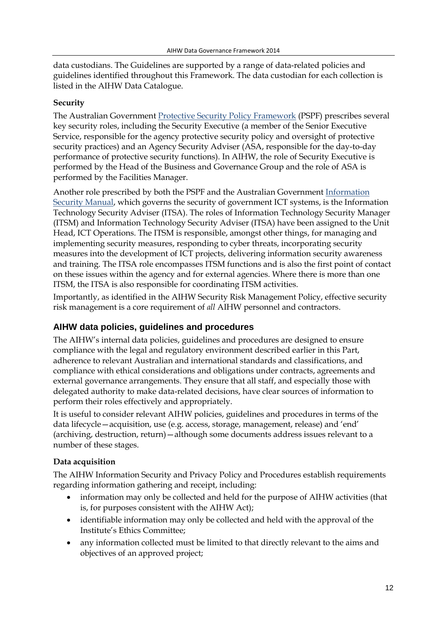data custodians. The Guidelines are supported by a range of data-related policies and guidelines identified throughout this Framework. The data custodian for each collection is listed in the AIHW Data Catalogue.

#### **Security**

The Australian Government [Protective Security Policy Framework](http://www.protectivesecurity.gov.au/pspf/Pages/default.aspx) (PSPF) prescribes several key security roles, including the Security Executive (a member of the Senior Executive Service, responsible for the agency protective security policy and oversight of protective security practices) and an Agency Security Adviser (ASA, responsible for the day-to-day performance of protective security functions). In AIHW, the role of Security Executive is performed by the Head of the Business and Governance Group and the role of ASA is performed by the Facilities Manager.

Another role prescribed by both the PSPF and the Australian Governmen[t Information](http://www.asd.gov.au/infosec/ism/)  [Security Manual,](http://www.asd.gov.au/infosec/ism/) which governs the security of government ICT systems, is the Information Technology Security Adviser (ITSA). The roles of Information Technology Security Manager (ITSM) and Information Technology Security Adviser (ITSA) have been assigned to the Unit Head, ICT Operations. The ITSM is responsible, amongst other things, for managing and implementing security measures, responding to cyber threats, incorporating security measures into the development of ICT projects, delivering information security awareness and training. The ITSA role encompasses ITSM functions and is also the first point of contact on these issues within the agency and for external agencies. Where there is more than one ITSM, the ITSA is also responsible for coordinating ITSM activities.

Importantly, as identified in the AIHW Security Risk Management Policy, effective security risk management is a core requirement of *all* AIHW personnel and contractors.

# <span id="page-11-0"></span>**AIHW data policies, guidelines and procedures**

The AIHW's internal data policies, guidelines and procedures are designed to ensure compliance with the legal and regulatory environment described earlier in this Part, adherence to relevant Australian and international standards and classifications, and compliance with ethical considerations and obligations under contracts, agreements and external governance arrangements. They ensure that all staff, and especially those with delegated authority to make data-related decisions, have clear sources of information to perform their roles effectively and appropriately.

It is useful to consider relevant AIHW policies, guidelines and procedures in terms of the data lifecycle—acquisition, use (e.g. access, storage, management, release) and 'end' (archiving, destruction, return)—although some documents address issues relevant to a number of these stages.

### **Data acquisition**

The AIHW Information Security and Privacy Policy and Procedures establish requirements regarding information gathering and receipt, including:

- information may only be collected and held for the purpose of AIHW activities (that is, for purposes consistent with the AIHW Act);
- identifiable information may only be collected and held with the approval of the Institute's Ethics Committee;
- any information collected must be limited to that directly relevant to the aims and objectives of an approved project;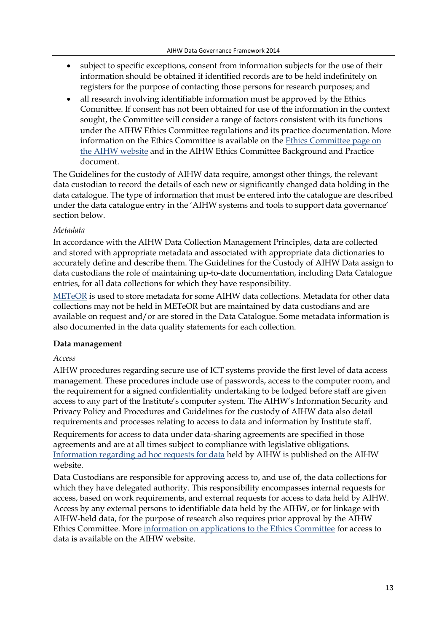- subject to specific exceptions, consent from information subjects for the use of their information should be obtained if identified records are to be held indefinitely on registers for the purpose of contacting those persons for research purposes; and
- all research involving identifiable information must be approved by the Ethics Committee. If consent has not been obtained for use of the information in the context sought, the Committee will consider a range of factors consistent with its functions under the AIHW Ethics Committee regulations and its practice documentation. More information on the Ethics Committee is available on the [Ethics Committee page on](http://www.aihw.gov.au/ethics/)  [the AIHW website](http://www.aihw.gov.au/ethics/) and in the AIHW Ethics Committee Background and Practice document.

The Guidelines for the custody of AIHW data require, amongst other things, the relevant data custodian to record the details of each new or significantly changed data holding in the data catalogue. The type of information that must be entered into the catalogue are described under the data catalogue entry in the 'AIHW systems and tools to support data governance' section below.

#### *Metadata*

In accordance with the AIHW Data Collection Management Principles, data are collected and stored with appropriate metadata and associated with appropriate data dictionaries to accurately define and describe them. The Guidelines for the Custody of AIHW Data assign to data custodians the role of maintaining up-to-date documentation, including Data Catalogue entries, for all data collections for which they have responsibility.

[METeOR](http://meteor.aihw.gov.au/content/index.phtml/itemId/181162) is used to store metadata for some AIHW data collections. Metadata for other data collections may not be held in METeOR but are maintained by data custodians and are available on request and/or are stored in the Data Catalogue. Some metadata information is also documented in the data quality statements for each collection.

#### **Data management**

#### *Access*

AIHW procedures regarding secure use of ICT systems provide the first level of data access management. These procedures include use of passwords, access to the computer room, and the requirement for a signed confidentiality undertaking to be lodged before staff are given access to any part of the Institute's computer system. The AIHW's Information Security and Privacy Policy and Procedures and Guidelines for the custody of AIHW data also detail requirements and processes relating to access to data and information by Institute staff.

Requirements for access to data under data-sharing agreements are specified in those agreements and are at all times subject to compliance with legislative obligations. [Information regarding ad hoc requests for data](http://www.aihw.gov.au/data/) held by AIHW is published on the AIHW website.

Data Custodians are responsible for approving access to, and use of, the data collections for which they have delegated authority. This responsibility encompasses internal requests for access, based on work requirements, and external requests for access to data held by AIHW. Access by any external persons to identifiable data held by the AIHW, or for linkage with AIHW-held data, for the purpose of research also requires prior approval by the AIHW Ethics Committee. More [information on applications to the Ethics Committee](http://www.aihw.gov.au/ethics/) for access to data is available on the AIHW website.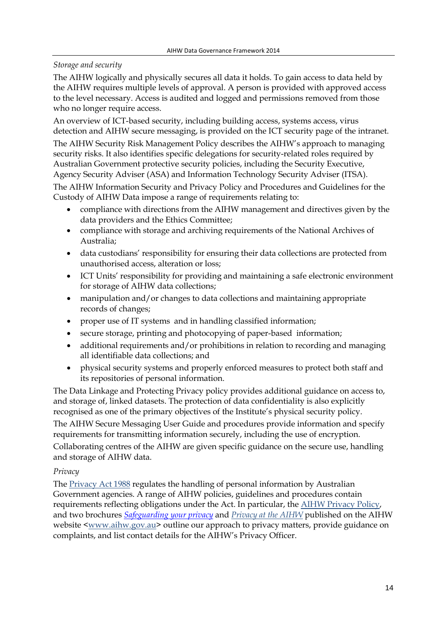### *Storage and security*

The AIHW logically and physically secures all data it holds. To gain access to data held by the AIHW requires multiple levels of approval. A person is provided with approved access to the level necessary. Access is audited and logged and permissions removed from those who no longer require access.

An overview of ICT-based security, including building access, systems access, virus detection and AIHW secure messaging, is provided on the ICT security page of the intranet. The AIHW Security Risk Management Policy describes the AIHW's approach to managing security risks. It also identifies specific delegations for security-related roles required by Australian Government protective security policies, including the Security Executive, Agency Security Adviser (ASA) and Information Technology Security Adviser (ITSA).

The AIHW Information Security and Privacy Policy and Procedures and Guidelines for the Custody of AIHW Data impose a range of requirements relating to:

- compliance with directions from the AIHW management and directives given by the data providers and the Ethics Committee;
- compliance with storage and archiving requirements of the National Archives of Australia;
- data custodians' responsibility for ensuring their data collections are protected from unauthorised access, alteration or loss;
- ICT Units' responsibility for providing and maintaining a safe electronic environment for storage of AIHW data collections;
- manipulation and/or changes to data collections and maintaining appropriate records of changes;
- proper use of IT systems and in handling classified information;
- secure storage, printing and photocopying of paper-based information;
- additional requirements and/or prohibitions in relation to recording and managing all identifiable data collections; and
- physical security systems and properly enforced measures to protect both staff and its repositories of personal information.

The Data Linkage and Protecting Privacy policy provides additional guidance on access to, and storage of, linked datasets. The protection of data confidentiality is also explicitly recognised as one of the primary objectives of the Institute's physical security policy.

The AIHW Secure Messaging User Guide and procedures provide information and specify requirements for transmitting information securely, including the use of encryption.

Collaborating centres of the AIHW are given specific guidance on the secure use, handling and storage of AIHW data.

### *Privacy*

The [Privacy Act 1988](http://www.comlaw.gov.au/Series/C2004A03712) regulates the handling of personal information by Australian Government agencies. A range of AIHW policies, guidelines and procedures contain requirements reflecting obligations under the Act. In particular, th[e AIHW Privacy Policy,](http://www.aihw.gov.au/privacy/) and two brochures *[Safeguarding your privacy](http://www.aihw.gov.au/WorkArea/DownloadAsset.aspx?id=10737420906&libID=10737420905)* and *Privacy at the AIHW* published on the AIHW website [<www.aihw.gov.au>](http://www.aihw.gov.au/) outline our approach to privacy matters, provide guidance on complaints, and list contact details for the AIHW's Privacy Officer.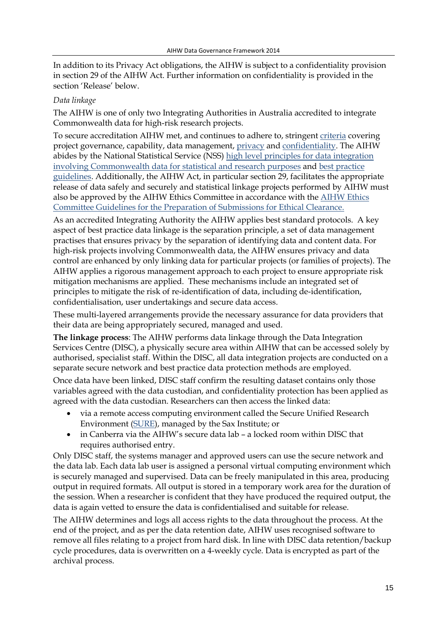In addition to its Privacy Act obligations, the AIHW is subject to a confidentiality provision in section 29 of the AIHW Act. Further information on confidentiality is provided in the section 'Release' below.

#### *Data linkage*

The AIHW is one of only two Integrating Authorities in Australia accredited to integrate Commonwealth data for high-risk research projects.

To secure accreditation AIHW met, and continues to adhere to, stringent [criteria](http://nss.gov.au/nss/home.nsf/pages/Data%20Integration%20-%20AIHW%20accreditation%20application%20and%20audit%20summary/) covering project governance, capability, data management, [privacy](http://www.aihw.gov.au/privacy-of-data/) and [confidentiality.](http://www.nss.gov.au/nss/home.nsf/NSS/946627CABAEC17DCCA25793300189884?opendocument) The AIHW abides by the National Statistical Service (NSS) [high level principles for data integration](http://www.nss.gov.au/nss/home.NSF/pages/High+Level+Principles+for+Data+Integration+-+Content?OpenDocument)  [involving Commonwealth data for statistical and research purposes](http://www.nss.gov.au/nss/home.NSF/pages/High+Level+Principles+for+Data+Integration+-+Content?OpenDocument) and [best practice](http://www.nss.gov.au/nss/home.nsf/NSS/085988C74EAFAB58CA2577F20017118A?opendocument)  [guidelines.](http://www.nss.gov.au/nss/home.nsf/NSS/085988C74EAFAB58CA2577F20017118A?opendocument) Additionally, the AIHW Act, in particular section 29, facilitates the appropriate release of data safely and securely and statistical linkage projects performed by AIHW must also be approved by the AIHW Ethics Committee in accordance with the [AIHW Ethics](http://www.aihw.gov.au/WorkArea/DownloadAsset.aspx?id=6442468868)  [Committee Guidelines for the Preparation of Submissions for Ethical Clearance.](http://www.aihw.gov.au/WorkArea/DownloadAsset.aspx?id=6442468868)

As an accredited Integrating Authority the AIHW applies best standard protocols. A key aspect of best practice data linkage is the separation principle, a set of data management practises that ensures privacy by the separation of identifying data and content data. For high-risk projects involving Commonwealth data, the AIHW ensures privacy and data control are enhanced by only linking data for particular projects (or families of projects). The AIHW applies a rigorous management approach to each project to ensure appropriate risk mitigation mechanisms are applied. These mechanisms include an integrated set of principles to mitigate the risk of re-identification of data, including de-identification, confidentialisation, user undertakings and secure data access.

These multi-layered arrangements provide the necessary assurance for data providers that their data are being appropriately secured, managed and used.

**The linkage process**: The AIHW performs data linkage through the Data Integration Services Centre (DISC), a physically secure area within AIHW that can be accessed solely by authorised, specialist staff. Within the DISC, all data integration projects are conducted on a separate secure network and best practice data protection methods are employed.

Once data have been linked, DISC staff confirm the resulting dataset contains only those variables agreed with the data custodian, and confidentiality protection has been applied as agreed with the data custodian. Researchers can then access the linked data:

- via a remote access computing environment called the Secure Unified Research Environment [\(SURE\)](https://www.saxinstitute.org.au/our-work/sure/), managed by the Sax Institute; or
- in Canberra via the AIHW's secure data lab a locked room within DISC that requires authorised entry.

Only DISC staff, the systems manager and approved users can use the secure network and the data lab. Each data lab user is assigned a personal virtual computing environment which is securely managed and supervised. Data can be freely manipulated in this area, producing output in required formats. All output is stored in a temporary work area for the duration of the session. When a researcher is confident that they have produced the required output, the data is again vetted to ensure the data is confidentialised and suitable for release.

The AIHW determines and logs all access rights to the data throughout the process. At the end of the project, and as per the data retention date, AIHW uses recognised software to remove all files relating to a project from hard disk. In line with DISC data retention/backup cycle procedures, data is overwritten on a 4-weekly cycle. Data is encrypted as part of the archival process.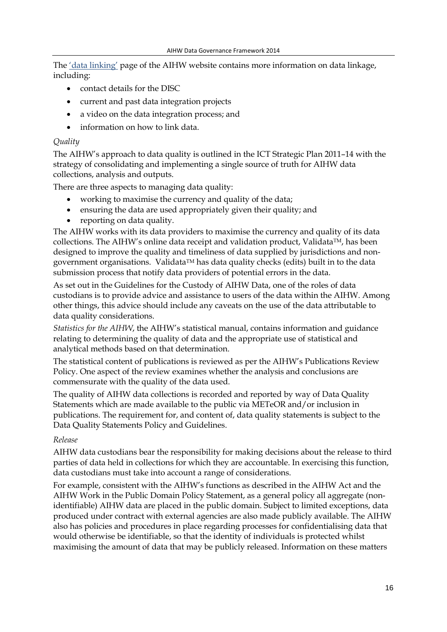The ['data linking'](http://www.aihw.gov.au/data-linking/) page of the AIHW website contains more information on data linkage, including:

- contact details for the DISC
- current and past data integration projects
- a video on the data integration process; and
- information on how to link data.

#### *Quality*

The AIHW's approach to data quality is outlined in the ICT Strategic Plan 2011–14 with the strategy of consolidating and implementing a single source of truth for AIHW data collections, analysis and outputs.

There are three aspects to managing data quality:

- working to maximise the currency and quality of the data;
- ensuring the data are used appropriately given their quality; and
- reporting on data quality.

The AIHW works with its data providers to maximise the currency and quality of its data collections. The AIHW's online data receipt and validation product, Validata<sup>TM</sup>, has been designed to improve the quality and timeliness of data supplied by jurisdictions and nongovernment organisations. Validata<sup>TM</sup> has data quality checks (edits) built in to the data submission process that notify data providers of potential errors in the data.

As set out in the Guidelines for the Custody of AIHW Data, one of the roles of data custodians is to provide advice and assistance to users of the data within the AIHW. Among other things, this advice should include any caveats on the use of the data attributable to data quality considerations.

*Statistics for the AIHW*, the AIHW's statistical manual, contains information and guidance relating to determining the quality of data and the appropriate use of statistical and analytical methods based on that determination.

The statistical content of publications is reviewed as per the AIHW's Publications Review Policy. One aspect of the review examines whether the analysis and conclusions are commensurate with the quality of the data used.

The quality of AIHW data collections is recorded and reported by way of Data Quality Statements which are made available to the public via METeOR and/or inclusion in publications. The requirement for, and content of, data quality statements is subject to the Data Quality Statements Policy and Guidelines.

#### *Release*

AIHW data custodians bear the responsibility for making decisions about the release to third parties of data held in collections for which they are accountable. In exercising this function, data custodians must take into account a range of considerations.

For example, consistent with the AIHW's functions as described in the AIHW Act and the AIHW Work in the Public Domain Policy Statement, as a general policy all aggregate (nonidentifiable) AIHW data are placed in the public domain. Subject to limited exceptions, data produced under contract with external agencies are also made publicly available. The AIHW also has policies and procedures in place regarding processes for confidentialising data that would otherwise be identifiable, so that the identity of individuals is protected whilst maximising the amount of data that may be publicly released. Information on these matters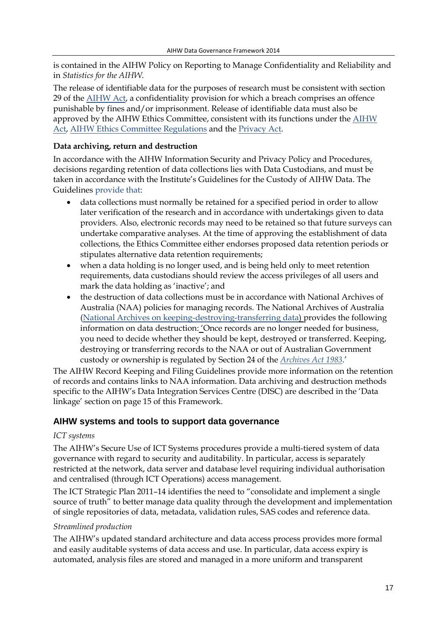is contained in the AIHW Policy on Reporting to Manage Confidentiality and Reliability and in *Statistics for the AIHW*.

The release of identifiable data for the purposes of research must be consistent with section 29 of the [AIHW Act,](http://www.comlaw.gov.au/Series/C2004A03450) a confidentiality provision for which a breach comprises an offence punishable by fines and/or imprisonment. Release of identifiable data must also be approved by the AIHW Ethics Committee, consistent with its functions under the [AIHW](http://www.comlaw.gov.au/Series/C2004A03450)  [Act,](http://www.comlaw.gov.au/Series/C2004A03450) [AIHW Ethics Committee Regulations](http://www.comlaw.gov.au/Series/F1997B01703) and th[e Privacy Act.](http://www.comlaw.gov.au/Series/C2004A03712)

#### **Data archiving, return and destruction**

In accordance with the AIHW Information Security and Privacy Policy and Procedures, decisions regarding retention of data collections lies with Data Custodians, and must be taken in accordance with the Institute's Guidelines for the Custody of AIHW Data. The Guidelines provide that:

- data collections must normally be retained for a specified period in order to allow later verification of the research and in accordance with undertakings given to data providers. Also, electronic records may need to be retained so that future surveys can undertake comparative analyses. At the time of approving the establishment of data collections, the Ethics Committee either endorses proposed data retention periods or stipulates alternative data retention requirements;
- when a data holding is no longer used, and is being held only to meet retention requirements, data custodians should review the access privileges of all users and mark the data holding as 'inactive'; and
- the destruction of data collections must be in accordance with National Archives of Australia (NAA) policies for managing records. The National Archives of Australia [\(National Archives on keeping-destroying-transferring data\)](http://www.naa.gov.au/records-management/agency/keep-destroy-transfer/index.aspx) provides the following information on data destruction: 'Once records are no longer needed for business, you need to decide whether they should be kept, destroyed or transferred. Keeping, destroying or transferring records to the NAA or out of Australian Government custody or ownership is regulated by Section 24 of the *[Archives Act 1983](http://www.comlaw.gov.au/Series/C2004A02796)*.'

The AIHW Record Keeping and Filing Guidelines provide more information on the retention of records and contains links to NAA information. Data archiving and destruction methods specific to the AIHW's Data Integration Services Centre (DISC) are described in the 'Data linkage' section on page 15 of this Framework.

### <span id="page-16-0"></span>**AIHW systems and tools to support data governance**

#### *ICT systems*

The AIHW's Secure Use of ICT Systems procedures provide a multi-tiered system of data governance with regard to security and auditability. In particular, access is separately restricted at the network, data server and database level requiring individual authorisation and centralised (through ICT Operations) access management.

The ICT Strategic Plan 2011–14 identifies the need to "consolidate and implement a single source of truth" to better manage data quality through the development and implementation of single repositories of data, metadata, validation rules, SAS codes and reference data.

#### *Streamlined production*

The AIHW's updated standard architecture and data access process provides more formal and easily auditable systems of data access and use. In particular, data access expiry is automated, analysis files are stored and managed in a more uniform and transparent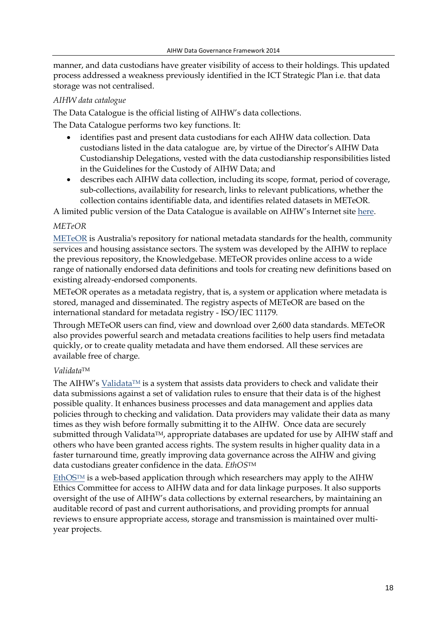manner, and data custodians have greater visibility of access to their holdings. This updated process addressed a weakness previously identified in the ICT Strategic Plan i.e. that data storage was not centralised.

#### *AIHW data catalogue*

The Data Catalogue is the official listing of AIHW's data collections.

The Data Catalogue performs two key functions. It:

- identifies past and present data custodians for each AIHW data collection. Data custodians listed in the data catalogue are, by virtue of the Director's AIHW Data Custodianship Delegations, vested with the data custodianship responsibilities listed in the Guidelines for the Custody of AIHW Data; and
- describes each AIHW data collection, including its scope, format, period of coverage, sub-collections, availability for research, links to relevant publications, whether the collection contains identifiable data, and identifies related datasets in METeOR.

A limited public version of the Data Catalogue is available on AIHW's Internet sit[e here.](http://www.aihw.gov.au/home-page-data-cat/)

#### *METeOR*

[METeOR](http://meteor.aihw.gov.au/content/index.phtml/itemId/181162) is Australia's repository for national metadata standards for the health, community services and housing assistance sectors. The system was developed by the AIHW to replace the previous repository, the Knowledgebase. METeOR provides online access to a wide range of nationally endorsed data definitions and tools for creating new definitions based on existing already-endorsed components.

METeOR operates as a metadata registry, that is, a system or application where metadata is stored, managed and disseminated. The registry aspects of METeOR are based on the international standard for metadata registry - ISO/IEC 11179.

Through METeOR users can find, view and download over 2,600 data standards. METeOR also provides powerful search and metadata creations facilities to help users find metadata quickly, or to create quality metadata and have them endorsed. All these services are available free of charge.

#### *Validata*TM

The AIHW's Validata<sup>TM</sup> is a system that assists data providers to check and validate their data submissions against a set of validation rules to ensure that their data is of the highest possible quality. It enhances business processes and data management and applies data policies through to checking and validation. Data providers may validate their data as many times as they wish before formally submitting it to the AIHW. Once data are securely submitted through Validata<sup>TM</sup>, appropriate databases are updated for use by AIHW staff and others who have been granted access rights. The system results in higher quality data in a faster turnaround time, greatly improving data governance across the AIHW and giving data custodians greater confidence in the data. *EthOS*TM

EthOS $T^M$  is a web-based application through which researchers may apply to the AIHW Ethics Committee for access to AIHW data and for data linkage purposes. It also supports oversight of the use of AIHW's data collections by external researchers, by maintaining an auditable record of past and current authorisations, and providing prompts for annual reviews to ensure appropriate access, storage and transmission is maintained over multiyear projects.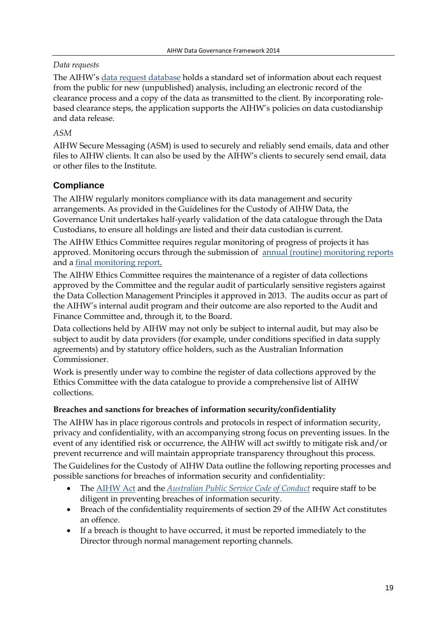## *Data requests*

The AIHW's [data request database](https://datarequest.aihw.gov.au/pages/welcome.aspx) holds a standard set of information about each request from the public for new (unpublished) analysis, including an electronic record of the clearance process and a copy of the data as transmitted to the client. By incorporating rolebased clearance steps, the application supports the AIHW's policies on data custodianship and data release.

# *ASM*

AIHW Secure Messaging (ASM) is used to securely and reliably send emails, data and other files to AIHW clients. It can also be used by the AIHW's clients to securely send email, data or other files to the Institute.

# <span id="page-18-0"></span>**Compliance**

The AIHW regularly monitors compliance with its data management and security arrangements. As provided in the Guidelines for the Custody of AIHW Data, the Governance Unit undertakes half-yearly validation of the data catalogue through the Data Custodians, to ensure all holdings are listed and their data custodian is current.

The AIHW Ethics Committee requires regular monitoring of progress of projects it has approved. Monitoring occurs through the submission of [annual \(routine\) monitoring reports](http://www.aihw.gov.au/WorkArea/DownloadAsset.aspx?id=60129542897) and a [final monitoring report.](http://www.aihw.gov.au/WorkArea/DownloadAsset.aspx?id=60129542524)

The AIHW Ethics Committee requires the maintenance of a register of data collections approved by the Committee and the regular audit of particularly sensitive registers against the Data Collection Management Principles it approved in 2013. The audits occur as part of the AIHW's internal audit program and their outcome are also reported to the Audit and Finance Committee and, through it, to the Board.

Data collections held by AIHW may not only be subject to internal audit, but may also be subject to audit by data providers (for example, under conditions specified in data supply agreements) and by statutory office holders, such as the Australian Information Commissioner.

Work is presently under way to combine the register of data collections approved by the Ethics Committee with the data catalogue to provide a comprehensive list of AIHW collections.

### **Breaches and sanctions for breaches of information security/confidentiality**

The AIHW has in place rigorous controls and protocols in respect of information security, privacy and confidentiality, with an accompanying strong focus on preventing issues. In the event of any identified risk or occurrence, the AIHW will act swiftly to mitigate risk and/or prevent recurrence and will maintain appropriate transparency throughout this process.

The Guidelines for the Custody of AIHW Data outline the following reporting processes and possible sanctions for breaches of information security and confidentiality:

- The [AIHW Act](http://www.comlaw.gov.au/Series/C2004A03450) and the *[Australian Public Service Code of Conduct](http://www.apsc.gov.au/aps-employment-policy-and-advice/aps-values-and-code-of-conduct/code-of-conduct)* require staff to be diligent in preventing breaches of information security.
- Breach of the confidentiality requirements of section 29 of the AIHW Act constitutes an offence.
- If a breach is thought to have occurred, it must be reported immediately to the Director through normal management reporting channels.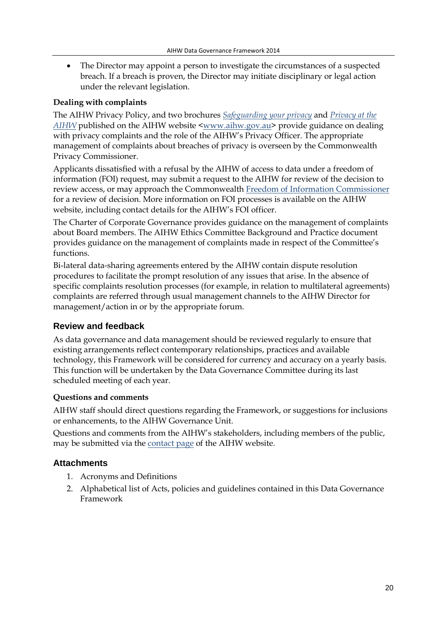• The Director may appoint a person to investigate the circumstances of a suspected breach. If a breach is proven, the Director may initiate disciplinary or legal action under the relevant legislation.

#### **Dealing with complaints**

The AIHW Privacy Policy, and two brochures *[Safeguarding your privacy](http://www.aihw.gov.au/WorkArea/DownloadAsset.aspx?id=10737420906&libID=10737420905)* and *Privacy at the AIHW* published on the AIHW website [<www.aihw.gov.au>](http://www.aihw.gov.au/) provide guidance on dealing with privacy complaints and the role of the AIHW's Privacy Officer. The appropriate management of complaints about breaches of privacy is overseen by the Commonwealth Privacy Commissioner.

Applicants dissatisfied with a refusal by the AIHW of access to data under a freedom of information (FOI) request, may submit a request to the AIHW for review of the decision to review access, or may approach the Commonwealth [Freedom of Information Commissioner](http://www.oaic.gov.au/freedom-of-information/foi-complaints) for a review of decision. More information on FOI processes is available on the AIHW website, including contact details for the AIHW's FOI officer.

The Charter of Corporate Governance provides guidance on the management of complaints about Board members. The AIHW Ethics Committee Background and Practice document provides guidance on the management of complaints made in respect of the Committee's functions.

Bi-lateral data-sharing agreements entered by the AIHW contain dispute resolution procedures to facilitate the prompt resolution of any issues that arise. In the absence of specific complaints resolution processes (for example, in relation to multilateral agreements) complaints are referred through usual management channels to the AIHW Director for management/action in or by the appropriate forum.

### <span id="page-19-0"></span>**Review and feedback**

As data governance and data management should be reviewed regularly to ensure that existing arrangements reflect contemporary relationships, practices and available technology, this Framework will be considered for currency and accuracy on a yearly basis. This function will be undertaken by the Data Governance Committee during its last scheduled meeting of each year.

### **Questions and comments**

AIHW staff should direct questions regarding the Framework, or suggestions for inclusions or enhancements, to the AIHW Governance Unit.

Questions and comments from the AIHW's stakeholders, including members of the public, may be submitted via the [contact page](http://www.aihw.gov.au/contact/) of the AIHW website.

### <span id="page-19-1"></span>**Attachments**

- 1. Acronyms and Definitions
- 2. Alphabetical list of Acts, policies and guidelines contained in this Data Governance Framework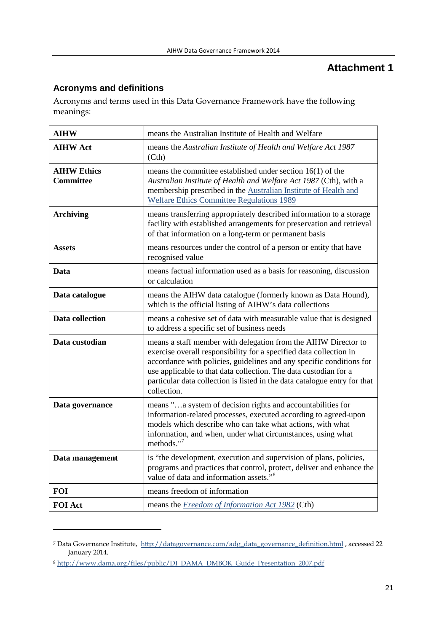# **Attachment 1**

# <span id="page-20-1"></span><span id="page-20-0"></span>**Acronyms and definitions**

Acronyms and terms used in this Data Governance Framework have the following meanings:

| <b>AIHW</b>                            | means the Australian Institute of Health and Welfare                                                                                                                                                                                                                                                                                                                         |
|----------------------------------------|------------------------------------------------------------------------------------------------------------------------------------------------------------------------------------------------------------------------------------------------------------------------------------------------------------------------------------------------------------------------------|
| <b>AIHW Act</b>                        | means the Australian Institute of Health and Welfare Act 1987<br>(Cth)                                                                                                                                                                                                                                                                                                       |
| <b>AIHW Ethics</b><br><b>Committee</b> | means the committee established under section $16(1)$ of the<br>Australian Institute of Health and Welfare Act 1987 (Cth), with a<br>membership prescribed in the Australian Institute of Health and<br><b>Welfare Ethics Committee Regulations 1989</b>                                                                                                                     |
| <b>Archiving</b>                       | means transferring appropriately described information to a storage<br>facility with established arrangements for preservation and retrieval<br>of that information on a long-term or permanent basis                                                                                                                                                                        |
| <b>Assets</b>                          | means resources under the control of a person or entity that have<br>recognised value                                                                                                                                                                                                                                                                                        |
| Data                                   | means factual information used as a basis for reasoning, discussion<br>or calculation                                                                                                                                                                                                                                                                                        |
| Data catalogue                         | means the AIHW data catalogue (formerly known as Data Hound),<br>which is the official listing of AIHW's data collections                                                                                                                                                                                                                                                    |
| Data collection                        | means a cohesive set of data with measurable value that is designed<br>to address a specific set of business needs                                                                                                                                                                                                                                                           |
| Data custodian                         | means a staff member with delegation from the AIHW Director to<br>exercise overall responsibility for a specified data collection in<br>accordance with policies, guidelines and any specific conditions for<br>use applicable to that data collection. The data custodian for a<br>particular data collection is listed in the data catalogue entry for that<br>collection. |
| Data governance                        | means "a system of decision rights and accountabilities for<br>information-related processes, executed according to agreed-upon<br>models which describe who can take what actions, with what<br>information, and when, under what circumstances, using what<br>methods." $7$                                                                                                |
| Data management                        | is "the development, execution and supervision of plans, policies,<br>programs and practices that control, protect, deliver and enhance the<br>value of data and information assets." <sup>8</sup>                                                                                                                                                                           |
| <b>FOI</b>                             | means freedom of information                                                                                                                                                                                                                                                                                                                                                 |
| <b>FOI Act</b>                         | means the <b>Freedom</b> of Information Act 1982 (Cth)                                                                                                                                                                                                                                                                                                                       |

<span id="page-20-2"></span><sup>&</sup>lt;sup>7</sup> Data Governance Institute, [http://datagovernance.com/adg\\_data\\_governance\\_definition.html](http://datagovernance.com/adg_data_governance_definition.html) , accessed 22 January 2014.

<u>.</u>

<span id="page-20-3"></span><sup>8</sup> [http://www.dama.org/files/public/DI\\_DAMA\\_DMBOK\\_Guide\\_Presentation\\_2007.pdf](http://www.dama.org/files/public/DI_DAMA_DMBOK_Guide_Presentation_2007.pdf)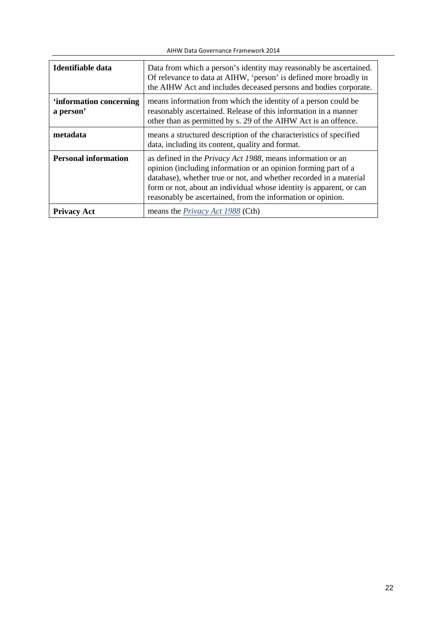| Identifiable data                    | Data from which a person's identity may reasonably be ascertained.<br>Of relevance to data at AIHW, 'person' is defined more broadly in<br>the AIHW Act and includes deceased persons and bodies corporate.                                                                                                                                       |
|--------------------------------------|---------------------------------------------------------------------------------------------------------------------------------------------------------------------------------------------------------------------------------------------------------------------------------------------------------------------------------------------------|
| 'information concerning<br>a person' | means information from which the identity of a person could be<br>reasonably ascertained. Release of this information in a manner<br>other than as permitted by s. 29 of the AIHW Act is an offence.                                                                                                                                              |
| metadata                             | means a structured description of the characteristics of specified<br>data, including its content, quality and format.                                                                                                                                                                                                                            |
| <b>Personal information</b>          | as defined in the <i>Privacy Act 1988</i> , means information or an<br>opinion (including information or an opinion forming part of a<br>database), whether true or not, and whether recorded in a material<br>form or not, about an individual whose identity is apparent, or can<br>reasonably be ascertained, from the information or opinion. |
| <b>Privacy Act</b>                   | means the <i>Privacy Act 1988</i> (Cth)                                                                                                                                                                                                                                                                                                           |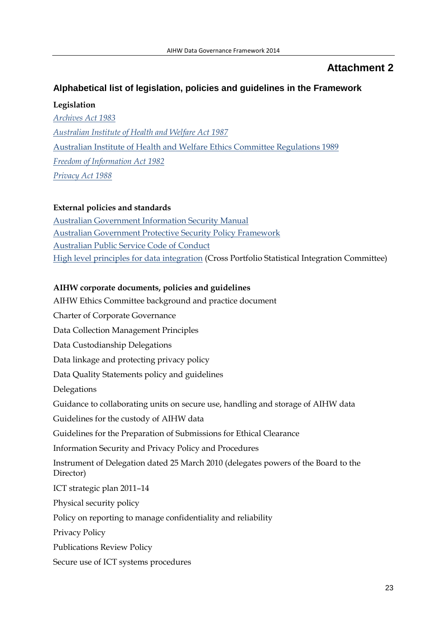# **Attachment 2**

# <span id="page-22-1"></span><span id="page-22-0"></span>**Alphabetical list of legislation, policies and guidelines in the Framework**

**Legislation**

*[Archives Act 1983](http://www.comlaw.gov.au/Series/C2004A02796) [Australian Institute of Health and Welfare Act 1987](http://www.comlaw.gov.au/Series/C2004A03450)* [Australian Institute of Health and Welfare Ethics Committee Regulations 1989](http://www.comlaw.gov.au/Series/F1997B01703) *[Freedom of Information Act 1982](http://www.comlaw.gov.au/Series/C2004A02562) [Privacy Act 1988](http://www.comlaw.gov.au/Series/C2004A03712)*

#### **External policies and standards**

[Australian Government Information Security Manual](http://www.asd.gov.au/infosec/ism/) [Australian Government Protective Security Policy Framework](http://www.protectivesecurity.gov.au/pspf/Pages/default.aspx) [Australian Public Service Code of Conduct](http://www.apsc.gov.au/aps-employment-policy-and-advice/aps-values-and-code-of-conduct/code-of-conduct) [High level principles for data integration](http://www.nss.gov.au/nss/home.nsf/NSS/7AFDD165E21F34FDCA2577E400195826?opendocument) (Cross Portfolio Statistical Integration Committee)

### **AIHW corporate documents, policies and guidelines**

AIHW Ethics Committee background and practice document Charter of Corporate Governance Data Collection Management Principles Data Custodianship Delegations Data linkage and protecting privacy policy Data Quality Statements policy and guidelines Delegations Guidance to collaborating units on secure use, handling and storage of AIHW data Guidelines for the custody of AIHW data Guidelines for the Preparation of Submissions for Ethical Clearance Information Security and Privacy Policy and Procedures Instrument of Delegation dated 25 March 2010 (delegates powers of the Board to the Director) ICT strategic plan 2011–14 Physical security policy Policy on reporting to manage confidentiality and reliability Privacy Policy Publications Review Policy Secure use of ICT systems procedures